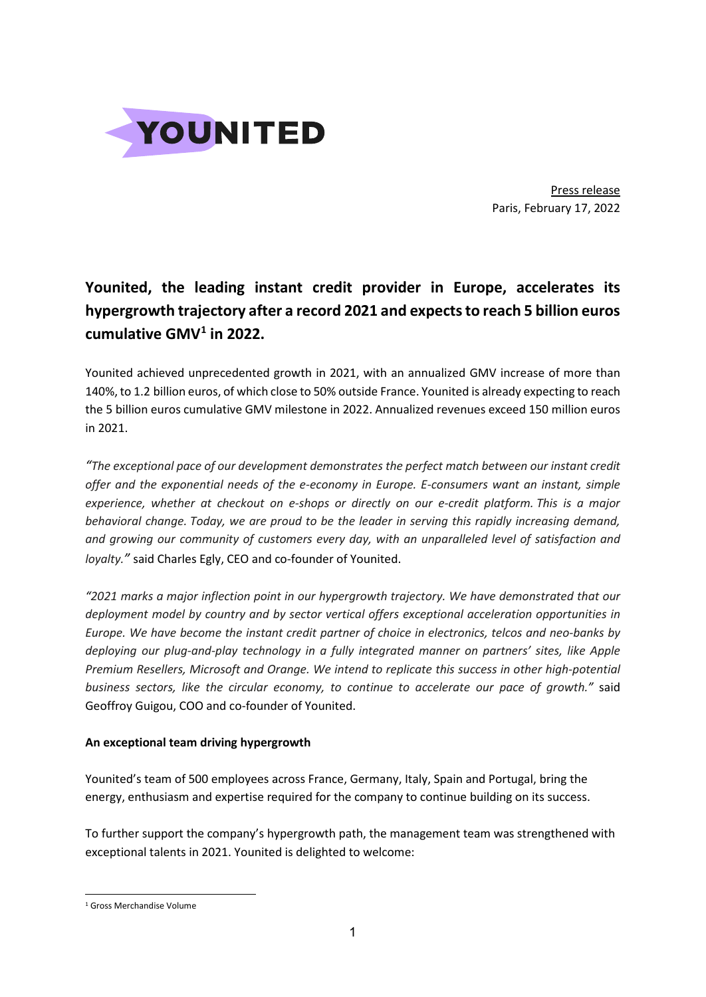

Press release Paris, February 17, 2022

# **Younited, the leading instant credit provider in Europe, accelerates its hypergrowth trajectory after a record 2021 and expects to reach 5 billion euros cumulative GMV[1](#page-0-0) in 2022.**

Younited achieved unprecedented growth in 2021, with an annualized GMV increase of more than 140%, to 1.2 billion euros, of which close to 50% outside France. Younited is already expecting to reach the 5 billion euros cumulative GMV milestone in 2022. Annualized revenues exceed 150 million euros in 2021.

*"The exceptional pace of our development demonstrates the perfect match between our instant credit offer and the exponential needs of the e-economy in Europe. E-consumers want an instant, simple experience, whether at checkout on e-shops or directly on our e-credit platform. This is a major behavioral change. Today, we are proud to be the leader in serving this rapidly increasing demand, and growing our community of customers every day, with an unparalleled level of satisfaction and loyalty."* said Charles Egly, CEO and co-founder of Younited.

*"2021 marks a major inflection point in our hypergrowth trajectory. We have demonstrated that our deployment model by country and by sector vertical offers exceptional acceleration opportunities in Europe. We have become the instant credit partner of choice in electronics, telcos and neo-banks by deploying our plug-and-play technology in a fully integrated manner on partners' sites, like Apple Premium Resellers, Microsoft and Orange. We intend to replicate this success in other high-potential business sectors, like the circular economy, to continue to accelerate our pace of growth."* said Geoffroy Guigou, COO and co-founder of Younited.

### **An exceptional team driving hypergrowth**

Younited's team of 500 employees across France, Germany, Italy, Spain and Portugal, bring the energy, enthusiasm and expertise required for the company to continue building on its success.

To further support the company's hypergrowth path, the management team was strengthened with exceptional talents in 2021. Younited is delighted to welcome:

<span id="page-0-0"></span><sup>1</sup> Gross Merchandise Volume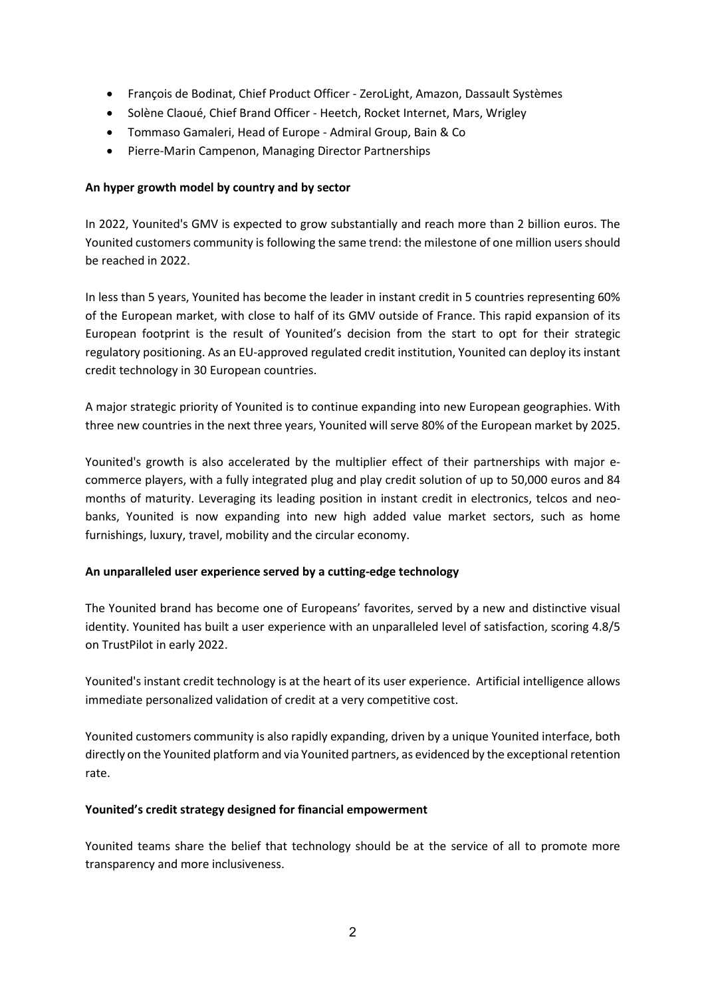- François de Bodinat, Chief Product Officer ZeroLight, Amazon, Dassault Systèmes
- Solène Claoué, Chief Brand Officer Heetch, Rocket Internet, Mars, Wrigley
- Tommaso Gamaleri, Head of Europe Admiral Group, Bain & Co
- Pierre-Marin Campenon, Managing Director Partnerships

#### **An hyper growth model by country and by sector**

In 2022, Younited's GMV is expected to grow substantially and reach more than 2 billion euros. The Younited customers community is following the same trend: the milestone of one million users should be reached in 2022.

In less than 5 years, Younited has become the leader in instant credit in 5 countries representing 60% of the European market, with close to half of its GMV outside of France. This rapid expansion of its European footprint is the result of Younited's decision from the start to opt for their strategic regulatory positioning. As an EU-approved regulated credit institution, Younited can deploy its instant credit technology in 30 European countries.

A major strategic priority of Younited is to continue expanding into new European geographies. With three new countries in the next three years, Younited will serve 80% of the European market by 2025.

Younited's growth is also accelerated by the multiplier effect of their partnerships with major ecommerce players, with a fully integrated plug and play credit solution of up to 50,000 euros and 84 months of maturity. Leveraging its leading position in instant credit in electronics, telcos and neobanks, Younited is now expanding into new high added value market sectors, such as home furnishings, luxury, travel, mobility and the circular economy.

### **An unparalleled user experience served by a cutting-edge technology**

The Younited brand has become one of Europeans' favorites, served by a new and distinctive visual identity. Younited has built a user experience with an unparalleled level of satisfaction, scoring 4.8/5 on TrustPilot in early 2022.

Younited's instant credit technology is at the heart of its user experience. Artificial intelligence allows immediate personalized validation of credit at a very competitive cost.

Younited customers community is also rapidly expanding, driven by a unique Younited interface, both directly on the Younited platform and via Younited partners, as evidenced by the exceptional retention rate.

### **Younited's credit strategy designed for financial empowerment**

Younited teams share the belief that technology should be at the service of all to promote more transparency and more inclusiveness.